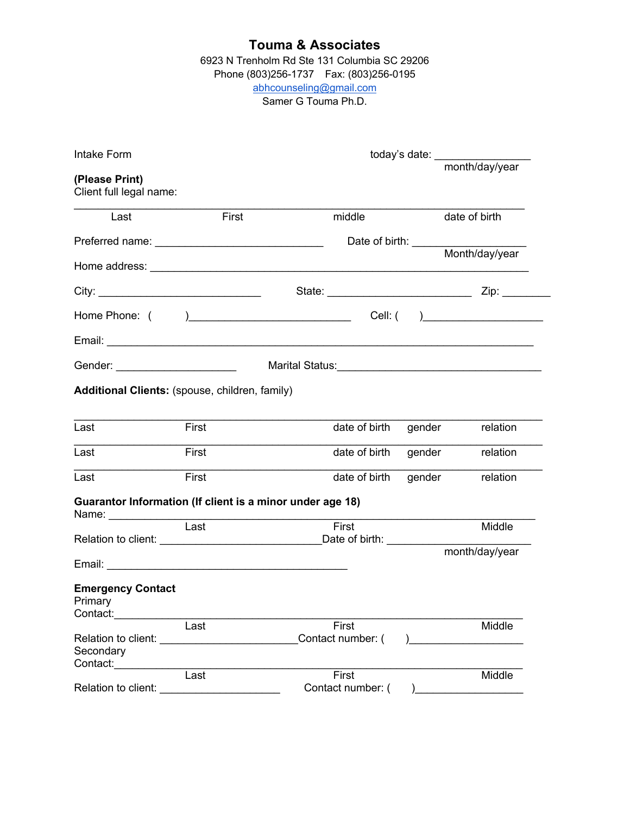6923 N Trenholm Rd Ste 131 Columbia SC 29206 Phone (803)256-1737 Fax: (803)256-0195 abhcounseling@gmail.com Samer G Touma Ph.D.

| Intake Form                                               | today's date: _______________ |                            |                    |
|-----------------------------------------------------------|-------------------------------|----------------------------|--------------------|
|                                                           |                               |                            | month/day/year     |
| (Please Print)<br>Client full legal name:                 |                               |                            |                    |
| Last                                                      | First                         | middle                     | date of birth      |
|                                                           |                               | Date of birth: ___________ |                    |
|                                                           |                               |                            | Month/day/year     |
|                                                           |                               |                            |                    |
|                                                           |                               |                            |                    |
|                                                           |                               |                            |                    |
| Gender: ________________________                          |                               |                            |                    |
| Additional Clients: (spouse, children, family)            |                               |                            |                    |
| Last                                                      | First                         | date of birth              | gender<br>relation |
| Last                                                      | First                         | date of birth              | gender<br>relation |
| Last                                                      | First                         | date of birth              | gender<br>relation |
| Guarantor Information (If client is a minor under age 18) |                               |                            |                    |
|                                                           | $\overline{\text{Last}}$      | First                      | Middle             |
|                                                           |                               |                            | month/day/year     |
| <b>Emergency Contact</b><br>Primary<br>Contact:           |                               |                            |                    |
| Relation to client:                                       | Last                          | First<br>Contact number: ( | Middle             |
| Secondary<br>Contact:                                     |                               |                            |                    |
| Relation to client:                                       | Last                          | First<br>Contact number: ( | Middle             |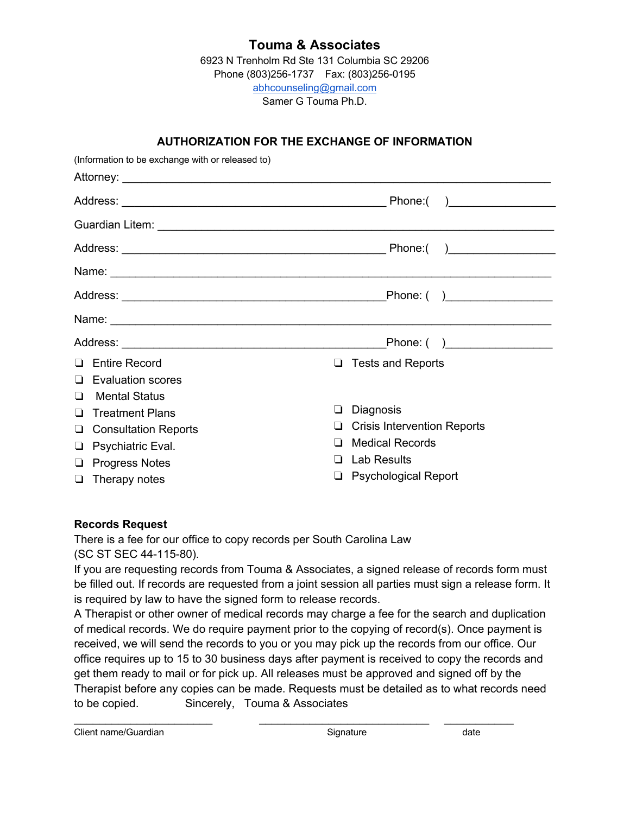6923 N Trenholm Rd Ste 131 Columbia SC 29206 Phone (803)256-1737 Fax: (803)256-0195 abhcounseling@gmail.com Samer G Touma Ph.D.

### **AUTHORIZATION FOR THE EXCHANGE OF INFORMATION**

| (Information to be exchange with or released to)                                                                                                                                                                                     |                                    |  |
|--------------------------------------------------------------------------------------------------------------------------------------------------------------------------------------------------------------------------------------|------------------------------------|--|
|                                                                                                                                                                                                                                      |                                    |  |
|                                                                                                                                                                                                                                      |                                    |  |
| Guardian Litem: <b>Contract Contract Contract Contract Contract Contract Contract Contract Contract Contract Contract Contract Contract Contract Contract Contract Contract Contract Contract Contract Contract Contract Contrac</b> |                                    |  |
|                                                                                                                                                                                                                                      |                                    |  |
|                                                                                                                                                                                                                                      |                                    |  |
|                                                                                                                                                                                                                                      |                                    |  |
|                                                                                                                                                                                                                                      |                                    |  |
|                                                                                                                                                                                                                                      |                                    |  |
| <b>Entire Record</b>                                                                                                                                                                                                                 | <b>Tests and Reports</b><br>$\Box$ |  |
| <b>Evaluation scores</b><br>$\blacksquare$                                                                                                                                                                                           |                                    |  |
| <b>Mental Status</b><br>$\blacksquare$                                                                                                                                                                                               |                                    |  |
| <b>Treatment Plans</b><br>ப                                                                                                                                                                                                          | Diagnosis<br>⊔                     |  |
| <b>Consultation Reports</b><br>⊔                                                                                                                                                                                                     | <b>Crisis Intervention Reports</b> |  |
| Psychiatric Eval.<br>⊔                                                                                                                                                                                                               | <b>Medical Records</b>             |  |
| <b>Progress Notes</b><br>⊔                                                                                                                                                                                                           | Lab Results                        |  |
| Therapy notes<br>❏                                                                                                                                                                                                                   | <b>Psychological Report</b>        |  |

### **Records Request**

There is a fee for our office to copy records per South Carolina Law (SC ST SEC 44-115-80).

If you are requesting records from Touma & Associates, a signed release of records form must be filled out. If records are requested from a joint session all parties must sign a release form. It is required by law to have the signed form to release records.

A Therapist or other owner of medical records may charge a fee for the search and duplication of medical records. We do require payment prior to the copying of record(s). Once payment is received, we will send the records to you or you may pick up the records from our office. Our office requires up to 15 to 30 business days after payment is received to copy the records and get them ready to mail or for pick up. All releases must be approved and signed off by the Therapist before any copies can be made. Requests must be detailed as to what records need to be copied. Sincerely, Touma & Associates

\_\_\_\_\_\_\_\_\_\_\_\_\_\_\_\_\_\_\_\_\_\_ \_\_\_\_\_\_\_\_\_\_\_\_\_\_\_\_\_\_\_\_\_\_\_\_\_\_\_ \_\_\_\_\_\_\_\_\_\_\_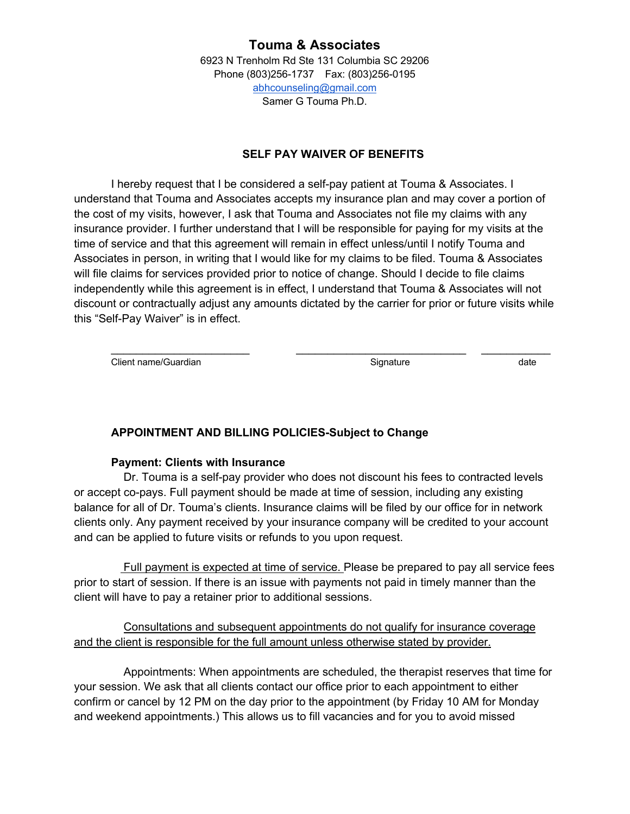6923 N Trenholm Rd Ste 131 Columbia SC 29206 Phone (803)256-1737 Fax: (803)256-0195 abhcounseling@gmail.com Samer G Touma Ph.D.

### **SELF PAY WAIVER OF BENEFITS**

I hereby request that I be considered a self-pay patient at Touma & Associates. I understand that Touma and Associates accepts my insurance plan and may cover a portion of the cost of my visits, however, I ask that Touma and Associates not file my claims with any insurance provider. I further understand that I will be responsible for paying for my visits at the time of service and that this agreement will remain in effect unless/until I notify Touma and Associates in person, in writing that I would like for my claims to be filed. Touma & Associates will file claims for services provided prior to notice of change. Should I decide to file claims independently while this agreement is in effect, I understand that Touma & Associates will not discount or contractually adjust any amounts dictated by the carrier for prior or future visits while this "Self-Pay Waiver" is in effect.

\_\_\_\_\_\_\_\_\_\_\_\_\_\_\_\_\_\_\_\_\_\_ \_\_\_\_\_\_\_\_\_\_\_\_\_\_\_\_\_\_\_\_\_\_\_\_\_\_\_ \_\_\_\_\_\_\_\_\_\_\_

Client name/Guardian and the control of the Signature Client name/Guardian and the control of the control of the control of the control of the control of the control of the control of the control of the control of the cont

### **APPOINTMENT AND BILLING POLICIES-Subject to Change**

#### **Payment: Clients with Insurance**

 Dr. Touma is a self-pay provider who does not discount his fees to contracted levels or accept co-pays. Full payment should be made at time of session, including any existing balance for all of Dr. Touma's clients. Insurance claims will be filed by our office for in network clients only. Any payment received by your insurance company will be credited to your account and can be applied to future visits or refunds to you upon request.

 Full payment is expected at time of service. Please be prepared to pay all service fees prior to start of session. If there is an issue with payments not paid in timely manner than the client will have to pay a retainer prior to additional sessions.

 Consultations and subsequent appointments do not qualify for insurance coverage and the client is responsible for the full amount unless otherwise stated by provider.

 Appointments: When appointments are scheduled, the therapist reserves that time for your session. We ask that all clients contact our office prior to each appointment to either confirm or cancel by 12 PM on the day prior to the appointment (by Friday 10 AM for Monday and weekend appointments.) This allows us to fill vacancies and for you to avoid missed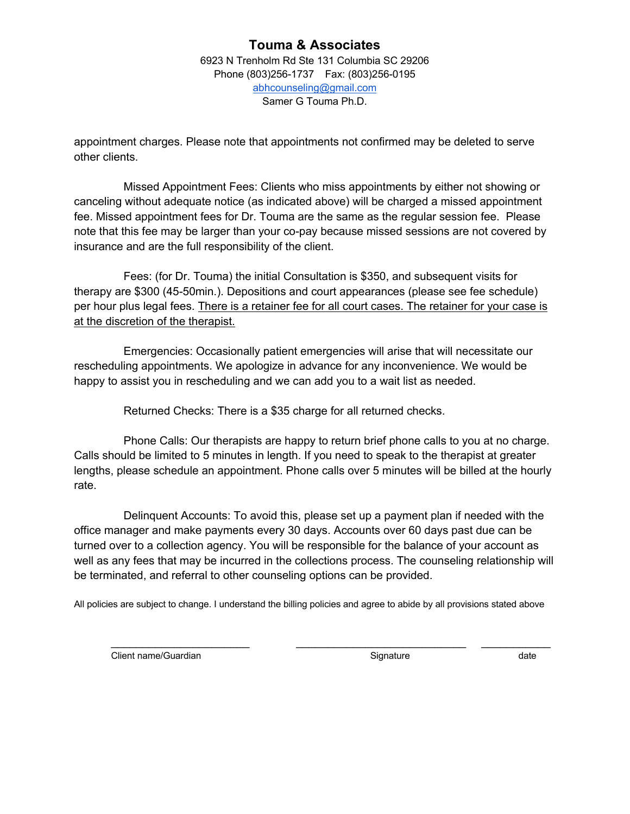6923 N Trenholm Rd Ste 131 Columbia SC 29206 Phone (803)256-1737 Fax: (803)256-0195 abhcounseling@gmail.com Samer G Touma Ph.D.

appointment charges. Please note that appointments not confirmed may be deleted to serve other clients.

 Missed Appointment Fees: Clients who miss appointments by either not showing or canceling without adequate notice (as indicated above) will be charged a missed appointment fee. Missed appointment fees for Dr. Touma are the same as the regular session fee. Please note that this fee may be larger than your co-pay because missed sessions are not covered by insurance and are the full responsibility of the client.

 Fees: (for Dr. Touma) the initial Consultation is \$350, and subsequent visits for therapy are \$300 (45-50min.). Depositions and court appearances (please see fee schedule) per hour plus legal fees. There is a retainer fee for all court cases. The retainer for your case is at the discretion of the therapist.

 Emergencies: Occasionally patient emergencies will arise that will necessitate our rescheduling appointments. We apologize in advance for any inconvenience. We would be happy to assist you in rescheduling and we can add you to a wait list as needed.

Returned Checks: There is a \$35 charge for all returned checks.

 Phone Calls: Our therapists are happy to return brief phone calls to you at no charge. Calls should be limited to 5 minutes in length. If you need to speak to the therapist at greater lengths, please schedule an appointment. Phone calls over 5 minutes will be billed at the hourly rate.

 Delinquent Accounts: To avoid this, please set up a payment plan if needed with the office manager and make payments every 30 days. Accounts over 60 days past due can be turned over to a collection agency. You will be responsible for the balance of your account as well as any fees that may be incurred in the collections process. The counseling relationship will be terminated, and referral to other counseling options can be provided.

All policies are subject to change. I understand the billing policies and agree to abide by all provisions stated above

\_\_\_\_\_\_\_\_\_\_\_\_\_\_\_\_\_\_\_\_\_\_ \_\_\_\_\_\_\_\_\_\_\_\_\_\_\_\_\_\_\_\_\_\_\_\_\_\_\_ \_\_\_\_\_\_\_\_\_\_\_

Client name/Guardian and the state of the Signature Signature of the date of the date of the date of the state of the date of the date of the date of the date of the date of the date of the date of the date of the date of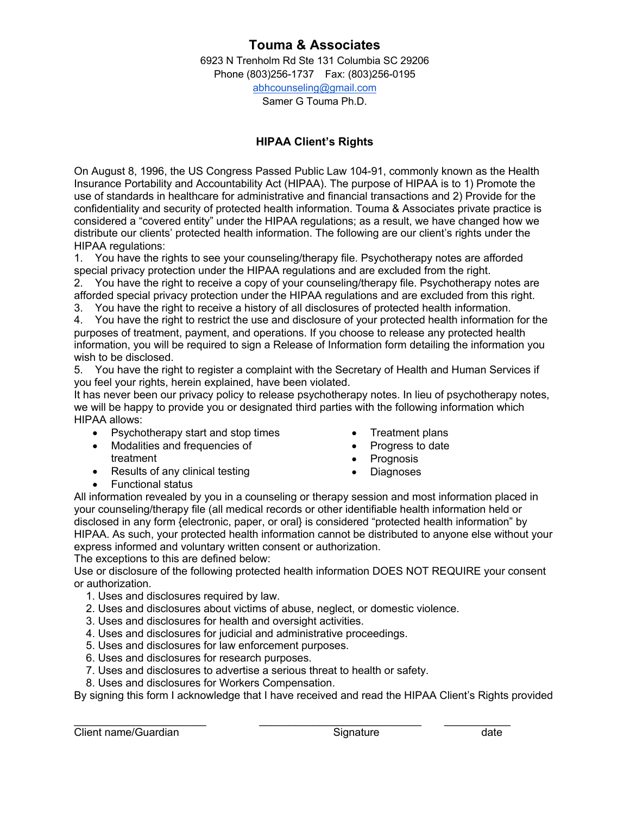6923 N Trenholm Rd Ste 131 Columbia SC 29206 Phone (803)256-1737 Fax: (803)256-0195 abhcounseling@gmail.com Samer G Touma Ph.D.

### **HIPAA Client's Rights**

On August 8, 1996, the US Congress Passed Public Law 104-91, commonly known as the Health Insurance Portability and Accountability Act (HIPAA). The purpose of HIPAA is to 1) Promote the use of standards in healthcare for administrative and financial transactions and 2) Provide for the confidentiality and security of protected health information. Touma & Associates private practice is considered a "covered entity" under the HIPAA regulations; as a result, we have changed how we distribute our clients' protected health information. The following are our client's rights under the HIPAA regulations:

1. You have the rights to see your counseling/therapy file. Psychotherapy notes are afforded special privacy protection under the HIPAA regulations and are excluded from the right.

2. You have the right to receive a copy of your counseling/therapy file. Psychotherapy notes are afforded special privacy protection under the HIPAA regulations and are excluded from this right.

3. You have the right to receive a history of all disclosures of protected health information.

4. You have the right to restrict the use and disclosure of your protected health information for the purposes of treatment, payment, and operations. If you choose to release any protected health information, you will be required to sign a Release of Information form detailing the information you wish to be disclosed.

5. You have the right to register a complaint with the Secretary of Health and Human Services if you feel your rights, herein explained, have been violated.

It has never been our privacy policy to release psychotherapy notes. In lieu of psychotherapy notes, we will be happy to provide you or designated third parties with the following information which HIPAA allows:

- Psychotherapy start and stop times
- Modalities and frequencies of treatment
- Results of any clinical testing
- Treatment plans
- Progress to date
- Prognosis
- Diagnoses

• Functional status

All information revealed by you in a counseling or therapy session and most information placed in your counseling/therapy file (all medical records or other identifiable health information held or disclosed in any form {electronic, paper, or oral} is considered "protected health information" by HIPAA. As such, your protected health information cannot be distributed to anyone else without your express informed and voluntary written consent or authorization.

The exceptions to this are defined below:

Use or disclosure of the following protected health information DOES NOT REQUIRE your consent or authorization.

- 1. Uses and disclosures required by law.
- 2. Uses and disclosures about victims of abuse, neglect, or domestic violence.
- 3. Uses and disclosures for health and oversight activities.
- 4. Uses and disclosures for judicial and administrative proceedings.
- 5. Uses and disclosures for law enforcement purposes.
- 6. Uses and disclosures for research purposes.
- 7. Uses and disclosures to advertise a serious threat to health or safety.
- 8. Uses and disclosures for Workers Compensation.

By signing this form I acknowledge that I have received and read the HIPAA Client's Rights provided

 $\mathcal{L}_\text{max}$  , and the contribution of the contribution of the contribution of the contribution of the contribution of the contribution of the contribution of the contribution of the contribution of the contribution of t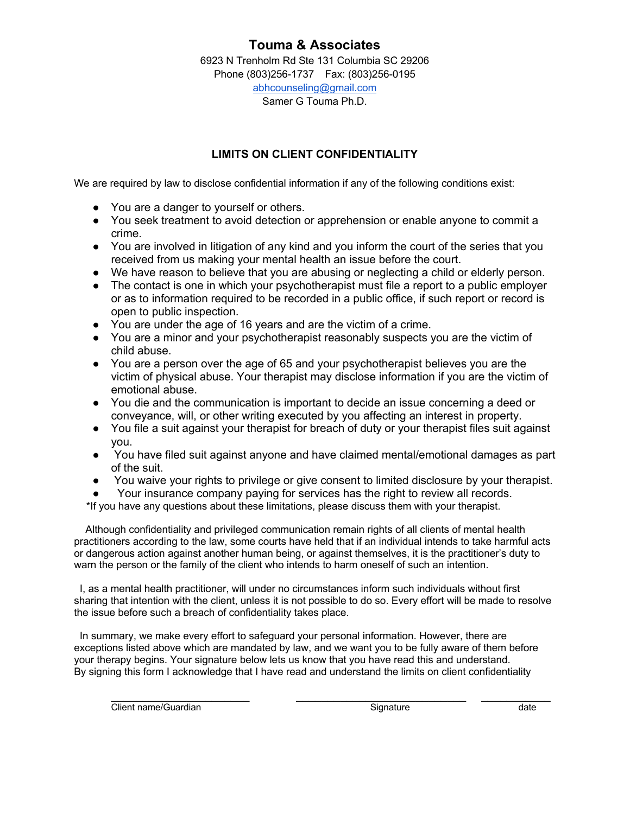6923 N Trenholm Rd Ste 131 Columbia SC 29206 Phone (803)256-1737 Fax: (803)256-0195 abhcounseling@gmail.com Samer G Touma Ph.D.

### **LIMITS ON CLIENT CONFIDENTIALITY**

We are required by law to disclose confidential information if any of the following conditions exist:

- You are a danger to yourself or others.
- You seek treatment to avoid detection or apprehension or enable anyone to commit a crime.
- You are involved in litigation of any kind and you inform the court of the series that you received from us making your mental health an issue before the court.
- We have reason to believe that you are abusing or neglecting a child or elderly person.
- The contact is one in which your psychotherapist must file a report to a public employer or as to information required to be recorded in a public office, if such report or record is open to public inspection.
- You are under the age of 16 years and are the victim of a crime.
- You are a minor and your psychotherapist reasonably suspects you are the victim of child abuse.
- You are a person over the age of 65 and your psychotherapist believes you are the victim of physical abuse. Your therapist may disclose information if you are the victim of emotional abuse.
- You die and the communication is important to decide an issue concerning a deed or conveyance, will, or other writing executed by you affecting an interest in property.
- You file a suit against your therapist for breach of duty or your therapist files suit against you.
- You have filed suit against anyone and have claimed mental/emotional damages as part of the suit.
- You waive your rights to privilege or give consent to limited disclosure by your therapist.
- Your insurance company paying for services has the right to review all records.

\*If you have any questions about these limitations, please discuss them with your therapist.

 Although confidentiality and privileged communication remain rights of all clients of mental health practitioners according to the law, some courts have held that if an individual intends to take harmful acts or dangerous action against another human being, or against themselves, it is the practitioner's duty to warn the person or the family of the client who intends to harm oneself of such an intention.

 I, as a mental health practitioner, will under no circumstances inform such individuals without first sharing that intention with the client, unless it is not possible to do so. Every effort will be made to resolve the issue before such a breach of confidentiality takes place.

 In summary, we make every effort to safeguard your personal information. However, there are exceptions listed above which are mandated by law, and we want you to be fully aware of them before your therapy begins. Your signature below lets us know that you have read this and understand. By signing this form I acknowledge that I have read and understand the limits on client confidentiality

Client name/Guardian and Client name/Guardian contract of the contract of the client name of the client of the client of the client of the client of the client of the client of the client of the client of the client of the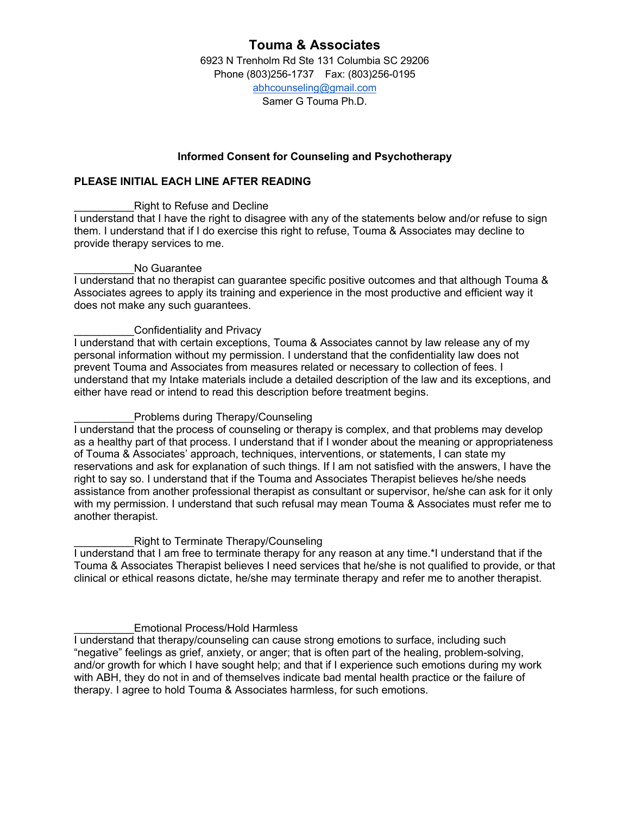6923 N Trenholm Rd Ste 131 Columbia SC 29206 Phone (803)256-1737 Fax: (803)256-0195 abhcounseling@gmail.com Samer G Touma Ph.D.

### **Informed Consent for Counseling and Psychotherapy**

### **PLEASE INITIAL EACH LINE AFTER READING**

#### Right to Refuse and Decline

I understand that I have the right to disagree with any of the statements below and/or refuse to sign them. I understand that if I do exercise this right to refuse, Touma & Associates may decline to provide therapy services to me.

#### No Guarantee

I understand that no therapist can guarantee specific positive outcomes and that although Touma & Associates agrees to apply its training and experience in the most productive and efficient way it does not make any such guarantees.

#### Confidentiality and Privacy

I understand that with certain exceptions, Touma & Associates cannot by law release any of my personal information without my permission. I understand that the confidentiality law does not prevent Touma and Associates from measures related or necessary to collection of fees. I understand that my Intake materials include a detailed description of the law and its exceptions, and either have read or intend to read this description before treatment begins.

#### Problems during Therapy/Counseling

I understand that the process of counseling or therapy is complex, and that problems may develop as a healthy part of that process. I understand that if I wonder about the meaning or appropriateness of Touma & Associates' approach, techniques, interventions, or statements, I can state my reservations and ask for explanation of such things. If I am not satisfied with the answers, I have the right to say so. I understand that if the Touma and Associates Therapist believes he/she needs assistance from another professional therapist as consultant or supervisor, he/she can ask for it only with my permission. I understand that such refusal may mean Touma & Associates must refer me to another therapist.

#### Right to Terminate Therapy/Counseling

I understand that I am free to terminate therapy for any reason at any time.\*I understand that if the Touma & Associates Therapist believes I need services that he/she is not qualified to provide, or that clinical or ethical reasons dictate, he/she may terminate therapy and refer me to another therapist.

#### \_\_\_\_\_\_\_\_\_\_Emotional Process/Hold Harmless

I understand that therapy/counseling can cause strong emotions to surface, including such "negative" feelings as grief, anxiety, or anger; that is often part of the healing, problem-solving, and/or growth for which I have sought help; and that if I experience such emotions during my work with ABH, they do not in and of themselves indicate bad mental health practice or the failure of therapy. I agree to hold Touma & Associates harmless, for such emotions.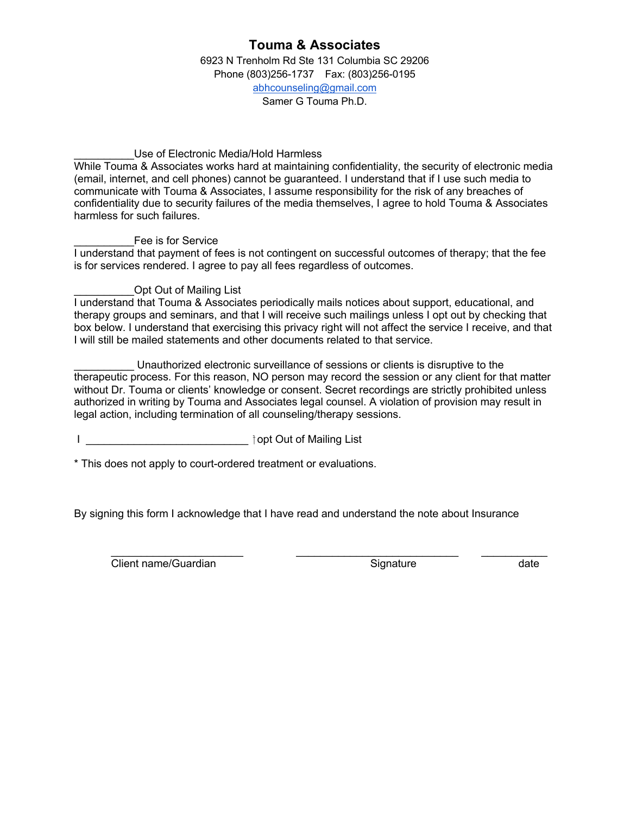6923 N Trenholm Rd Ste 131 Columbia SC 29206 Phone (803)256-1737 Fax: (803)256-0195 abhcounseling@gmail.com Samer G Touma Ph.D.

#### Use of Electronic Media/Hold Harmless

While Touma & Associates works hard at maintaining confidentiality, the security of electronic media (email, internet, and cell phones) cannot be guaranteed. I understand that if I use such media to communicate with Touma & Associates, I assume responsibility for the risk of any breaches of confidentiality due to security failures of the media themselves, I agree to hold Touma & Associates harmless for such failures.

#### Fee is for Service

I understand that payment of fees is not contingent on successful outcomes of therapy; that the fee is for services rendered. I agree to pay all fees regardless of outcomes.

### Opt Out of Mailing List

I understand that Touma & Associates periodically mails notices about support, educational, and therapy groups and seminars, and that I will receive such mailings unless I opt out by checking that box below. I understand that exercising this privacy right will not affect the service I receive, and that I will still be mailed statements and other documents related to that service.

Unauthorized electronic surveillance of sessions or clients is disruptive to the therapeutic process. For this reason, NO person may record the session or any client for that matter without Dr. Touma or clients' knowledge or consent. Secret recordings are strictly prohibited unless authorized in writing by Touma and Associates legal counsel. A violation of provision may result in legal action, including termination of all counseling/therapy sessions.

I \_\_\_\_\_\_\_\_\_\_\_\_\_\_\_\_\_\_\_\_\_\_\_\_\_\_\_ opt Out of Mailing List

\* This does not apply to court-ordered treatment or evaluations.

By signing this form I acknowledge that I have read and understand the note about Insurance

**Client name/Guardian** Signature Signature date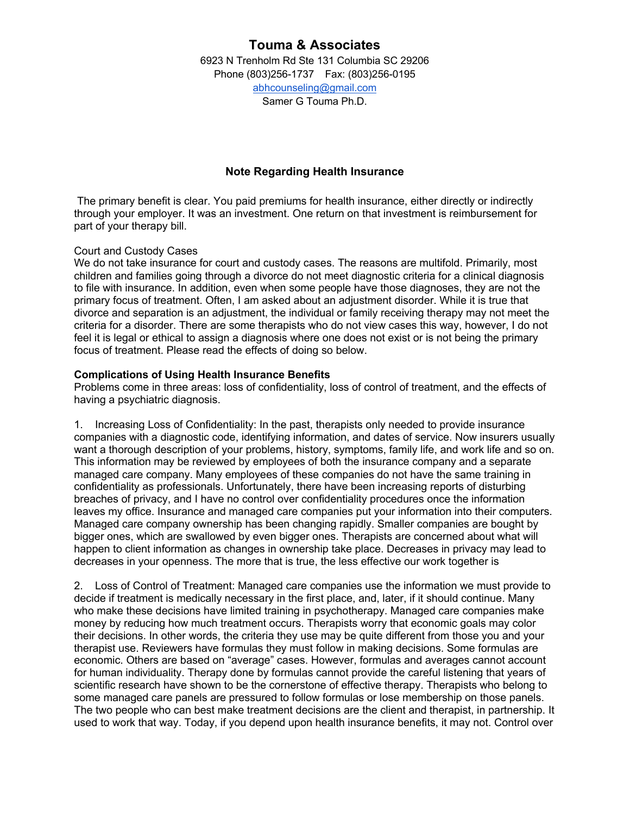6923 N Trenholm Rd Ste 131 Columbia SC 29206 Phone (803)256-1737 Fax: (803)256-0195 abhcounseling@gmail.com Samer G Touma Ph.D.

### **Note Regarding Health Insurance**

The primary benefit is clear. You paid premiums for health insurance, either directly or indirectly through your employer. It was an investment. One return on that investment is reimbursement for part of your therapy bill.

#### Court and Custody Cases

We do not take insurance for court and custody cases. The reasons are multifold. Primarily, most children and families going through a divorce do not meet diagnostic criteria for a clinical diagnosis to file with insurance. In addition, even when some people have those diagnoses, they are not the primary focus of treatment. Often, I am asked about an adjustment disorder. While it is true that divorce and separation is an adjustment, the individual or family receiving therapy may not meet the criteria for a disorder. There are some therapists who do not view cases this way, however, I do not feel it is legal or ethical to assign a diagnosis where one does not exist or is not being the primary focus of treatment. Please read the effects of doing so below.

#### **Complications of Using Health Insurance Benefits**

Problems come in three areas: loss of confidentiality, loss of control of treatment, and the effects of having a psychiatric diagnosis.

1. Increasing Loss of Confidentiality: In the past, therapists only needed to provide insurance companies with a diagnostic code, identifying information, and dates of service. Now insurers usually want a thorough description of your problems, history, symptoms, family life, and work life and so on. This information may be reviewed by employees of both the insurance company and a separate managed care company. Many employees of these companies do not have the same training in confidentiality as professionals. Unfortunately, there have been increasing reports of disturbing breaches of privacy, and I have no control over confidentiality procedures once the information leaves my office. Insurance and managed care companies put your information into their computers. Managed care company ownership has been changing rapidly. Smaller companies are bought by bigger ones, which are swallowed by even bigger ones. Therapists are concerned about what will happen to client information as changes in ownership take place. Decreases in privacy may lead to decreases in your openness. The more that is true, the less effective our work together is

2. Loss of Control of Treatment: Managed care companies use the information we must provide to decide if treatment is medically necessary in the first place, and, later, if it should continue. Many who make these decisions have limited training in psychotherapy. Managed care companies make money by reducing how much treatment occurs. Therapists worry that economic goals may color their decisions. In other words, the criteria they use may be quite different from those you and your therapist use. Reviewers have formulas they must follow in making decisions. Some formulas are economic. Others are based on "average" cases. However, formulas and averages cannot account for human individuality. Therapy done by formulas cannot provide the careful listening that years of scientific research have shown to be the cornerstone of effective therapy. Therapists who belong to some managed care panels are pressured to follow formulas or lose membership on those panels. The two people who can best make treatment decisions are the client and therapist, in partnership. It used to work that way. Today, if you depend upon health insurance benefits, it may not. Control over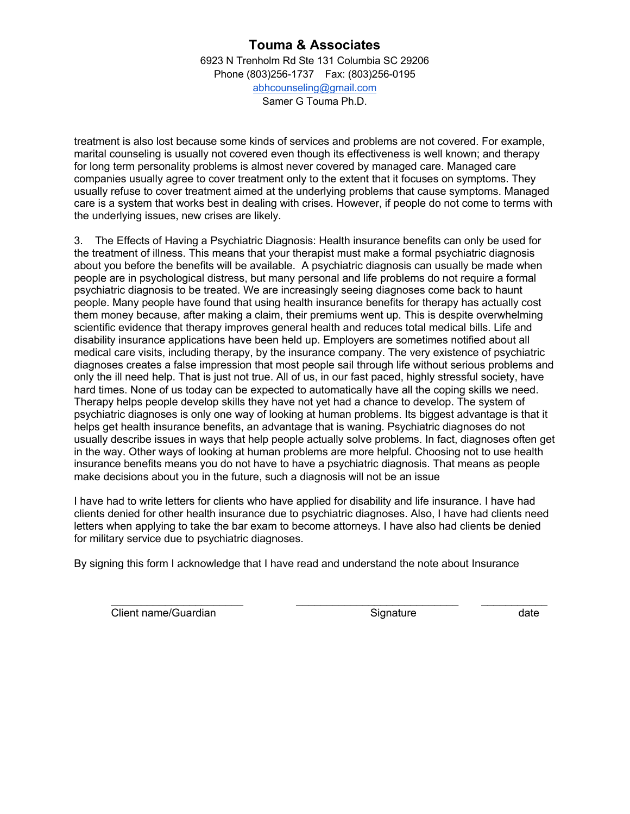6923 N Trenholm Rd Ste 131 Columbia SC 29206 Phone (803)256-1737 Fax: (803)256-0195 abhcounseling@gmail.com Samer G Touma Ph.D.

treatment is also lost because some kinds of services and problems are not covered. For example, marital counseling is usually not covered even though its effectiveness is well known; and therapy for long term personality problems is almost never covered by managed care. Managed care companies usually agree to cover treatment only to the extent that it focuses on symptoms. They usually refuse to cover treatment aimed at the underlying problems that cause symptoms. Managed care is a system that works best in dealing with crises. However, if people do not come to terms with the underlying issues, new crises are likely.

3. The Effects of Having a Psychiatric Diagnosis: Health insurance benefits can only be used for the treatment of illness. This means that your therapist must make a formal psychiatric diagnosis about you before the benefits will be available. A psychiatric diagnosis can usually be made when people are in psychological distress, but many personal and life problems do not require a formal psychiatric diagnosis to be treated. We are increasingly seeing diagnoses come back to haunt people. Many people have found that using health insurance benefits for therapy has actually cost them money because, after making a claim, their premiums went up. This is despite overwhelming scientific evidence that therapy improves general health and reduces total medical bills. Life and disability insurance applications have been held up. Employers are sometimes notified about all medical care visits, including therapy, by the insurance company. The very existence of psychiatric diagnoses creates a false impression that most people sail through life without serious problems and only the ill need help. That is just not true. All of us, in our fast paced, highly stressful society, have hard times. None of us today can be expected to automatically have all the coping skills we need. Therapy helps people develop skills they have not yet had a chance to develop. The system of psychiatric diagnoses is only one way of looking at human problems. Its biggest advantage is that it helps get health insurance benefits, an advantage that is waning. Psychiatric diagnoses do not usually describe issues in ways that help people actually solve problems. In fact, diagnoses often get in the way. Other ways of looking at human problems are more helpful. Choosing not to use health insurance benefits means you do not have to have a psychiatric diagnosis. That means as people make decisions about you in the future, such a diagnosis will not be an issue

I have had to write letters for clients who have applied for disability and life insurance. I have had clients denied for other health insurance due to psychiatric diagnoses. Also, I have had clients need letters when applying to take the bar exam to become attorneys. I have also had clients be denied for military service due to psychiatric diagnoses.

\_\_\_\_\_\_\_\_\_\_\_\_\_\_\_\_\_\_\_\_\_\_ \_\_\_\_\_\_\_\_\_\_\_\_\_\_\_\_\_\_\_\_\_\_\_\_\_\_\_ \_\_\_\_\_\_\_\_\_\_\_

By signing this form I acknowledge that I have read and understand the note about Insurance

**Client name/Guardian** Signature date